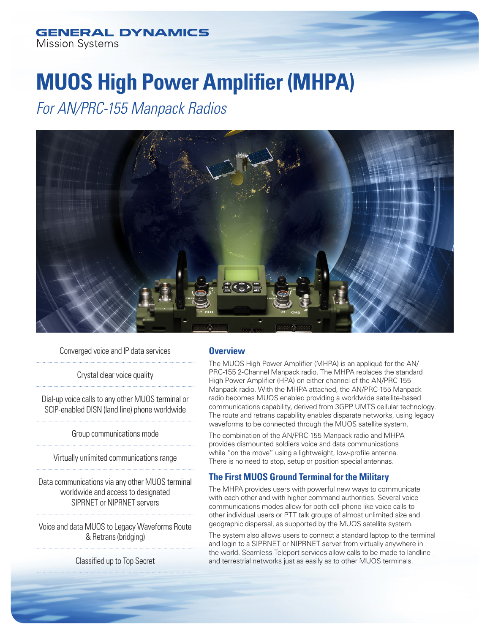# **MUOS High Power Amplifier (MHPA)**

*For AN/PRC-155 Manpack Radios*



Converged voice and IP data services

Crystal clear voice quality

Dial-up voice calls to any other MUOS terminal or SCIP-enabled DISN (land line) phone worldwide

Group communications mode

Virtually unlimited communications range

Data communications via any other MUOS terminal worldwide and access to designated SIPRNET or NIPRNET servers

Voice and data MUOS to Legacy Waveforms Route & Retrans (bridging)

Classified up to Top Secret

### **Overview**

The MUOS High Power Amplifier (MHPA) is an appliqué for the AN/ PRC-155 2-Channel Manpack radio. The MHPA replaces the standard High Power Amplifier (HPA) on either channel of the AN/PRC-155 Manpack radio. With the MHPA attached, the AN/PRC-155 Manpack radio becomes MUOS enabled providing a worldwide satellite-based communications capability, derived from 3GPP UMTS cellular technology. The route and retrans capability enables disparate networks, using legacy waveforms to be connected through the MUOS satellite system.

The combination of the AN/PRC-155 Manpack radio and MHPA provides dismounted soldiers voice and data communications while "on the move" using a lightweight, low-profile antenna. There is no need to stop, setup or position special antennas.

# **The First MUOS Ground Terminal for the Military**

The MHPA provides users with powerful new ways to communicate with each other and with higher command authorities. Several voice communications modes allow for both cell-phone like voice calls to other individual users or PTT talk groups of almost unlimited size and geographic dispersal, as supported by the MUOS satellite system.

The system also allows users to connect a standard laptop to the terminal and login to a SIPRNET or NIPRNET server from virtually anywhere in the world. Seamless Teleport services allow calls to be made to landline and terrestrial networks just as easily as to other MUOS terminals.